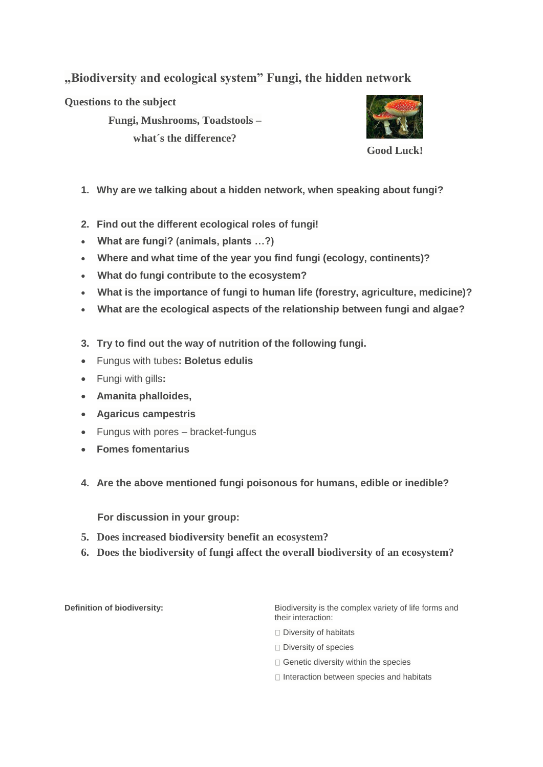**"Biodiversity and ecological system" Fungi, the hidden network**

**Questions to the subject**

**Fungi, Mushrooms, Toadstools – what´s the difference?**



**Good Luck!**

- **1. Why are we talking about a hidden network, when speaking about fungi?**
- **2. Find out the different ecological roles of fungi!**
- **What are fungi? (animals, plants …?)**
- **Where and what time of the year you find fungi (ecology, continents)?**
- **What do fungi contribute to the ecosystem?**
- **What is the importance of fungi to human life (forestry, agriculture, medicine)?**
- **What are the ecological aspects of the relationship between fungi and algae?**
- **3. Try to find out the way of nutrition of the following fungi.**
- Fungus with tubes**: Boletus edulis**
- Fungi with gills**:**
- **Amanita phalloides,**
- **Agaricus campestris**
- Fungus with pores bracket-fungus
- **Fomes fomentarius**
- **4. Are the above mentioned fungi poisonous for humans, edible or inedible?**

**For discussion in your group:**

- **5. Does increased biodiversity benefit an ecosystem?**
- **6. Does the biodiversity of fungi affect the overall biodiversity of an ecosystem?**

**Definition of biodiversity:** Biodiversity is the complex variety of life forms and their interaction:

- $\square$  Diversity of habitats
- Diversity of species
- Genetic diversity within the species
- $\Box$  Interaction between species and habitats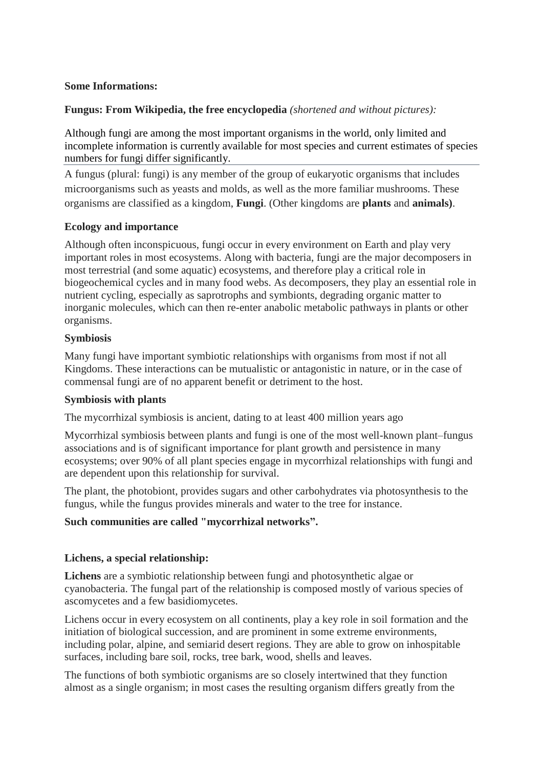## **Some Informations:**

## **Fungus: From Wikipedia, the free encyclopedia** *(shortened and without pictures):*

Although fungi are among the most important organisms in the world, only limited and incomplete information is currently available for most species and current estimates of species numbers for fungi differ significantly.

A fungus (plural: fungi) is any member of the group of eukaryotic organisms that includes microorganisms such as yeasts and molds, as well as the more familiar mushrooms. These organisms are classified as a kingdom, **Fungi**. (Other kingdoms are **plants** and **animals)**.

## **Ecology and importance**

Although often inconspicuous, fungi occur in every environment on Earth and play very important roles in most ecosystems. Along with bacteria, fungi are the major decomposers in most terrestrial (and some aquatic) ecosystems, and therefore play a critical role in biogeochemical cycles and in many food webs. As decomposers, they play an essential role in nutrient cycling, especially as saprotrophs and symbionts, degrading organic matter to inorganic molecules, which can then re-enter anabolic metabolic pathways in plants or other organisms.

## **Symbiosis**

Many fungi have important symbiotic relationships with organisms from most if not all Kingdoms. These interactions can be mutualistic or antagonistic in nature, or in the case of commensal fungi are of no apparent benefit or detriment to the host.

### **Symbiosis with plants**

The mycorrhizal symbiosis is ancient, dating to at least 400 million years ago

Mycorrhizal symbiosis between plants and fungi is one of the most well-known plant–fungus associations and is of significant importance for plant growth and persistence in many ecosystems; over 90% of all plant species engage in mycorrhizal relationships with fungi and are dependent upon this relationship for survival.

The plant, the photobiont, provides sugars and other carbohydrates via photosynthesis to the fungus, while the fungus provides minerals and water to the tree for instance.

# **Such communities are called "mycorrhizal networks".**

### **Lichens, a special relationship:**

**Lichens** are a symbiotic relationship between fungi and photosynthetic algae or cyanobacteria. The fungal part of the relationship is composed mostly of various species of ascomycetes and a few basidiomycetes.

Lichens occur in every ecosystem on all continents, play a key role in soil formation and the initiation of biological succession, and are prominent in some extreme environments, including polar, alpine, and semiarid desert regions. They are able to grow on inhospitable surfaces, including bare soil, rocks, tree bark, wood, shells and leaves.

The functions of both symbiotic organisms are so closely intertwined that they function almost as a single organism; in most cases the resulting organism differs greatly from the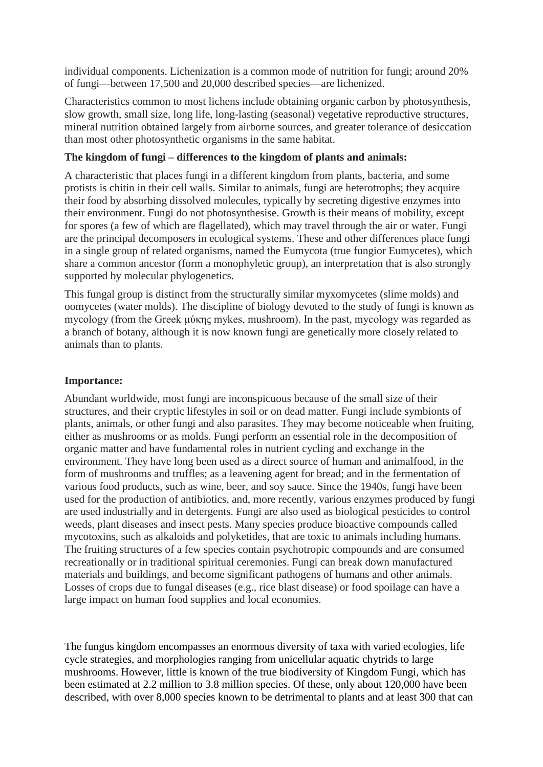individual components. Lichenization is a common mode of nutrition for fungi; around 20% of fungi—between 17,500 and 20,000 described species—are lichenized.

Characteristics common to most lichens include obtaining organic carbon by photosynthesis, slow growth, small size, long life, long-lasting (seasonal) vegetative reproductive structures, mineral nutrition obtained largely from airborne sources, and greater tolerance of desiccation than most other photosynthetic organisms in the same habitat.

## **The kingdom of fungi – differences to the kingdom of plants and animals:**

A characteristic that places fungi in a different kingdom from plants, bacteria, and some protists is chitin in their cell walls. Similar to animals, fungi are heterotrophs; they acquire their food by absorbing dissolved molecules, typically by secreting digestive enzymes into their environment. Fungi do not photosynthesise. Growth is their means of mobility, except for spores (a few of which are flagellated), which may travel through the air or water. Fungi are the principal decomposers in ecological systems. These and other differences place fungi in a single group of related organisms, named the Eumycota (true fungior Eumycetes), which share a common ancestor (form a monophyletic group), an interpretation that is also strongly supported by molecular phylogenetics.

This fungal group is distinct from the structurally similar myxomycetes (slime molds) and oomycetes (water molds). The discipline of biology devoted to the study of fungi is known as mycology (from the Greek μύκης mykes, mushroom). In the past, mycology was regarded as a branch of botany, although it is now known fungi are genetically more closely related to animals than to plants.

### **Importance:**

Abundant worldwide, most fungi are inconspicuous because of the small size of their structures, and their cryptic lifestyles in soil or on dead matter. Fungi include symbionts of plants, animals, or other fungi and also parasites. They may become noticeable when fruiting, either as mushrooms or as molds. Fungi perform an essential role in the decomposition of organic matter and have fundamental roles in nutrient cycling and exchange in the environment. They have long been used as a direct source of human and animalfood, in the form of mushrooms and truffles; as a leavening agent for bread; and in the fermentation of various food products, such as wine, beer, and soy sauce. Since the 1940s, fungi have been used for the production of antibiotics, and, more recently, various enzymes produced by fungi are used industrially and in detergents. Fungi are also used as biological pesticides to control weeds, plant diseases and insect pests. Many species produce bioactive compounds called mycotoxins, such as alkaloids and polyketides, that are toxic to animals including humans. The fruiting structures of a few species contain psychotropic compounds and are consumed recreationally or in traditional spiritual ceremonies. Fungi can break down manufactured materials and buildings, and become significant pathogens of humans and other animals. Losses of crops due to fungal diseases (e.g., rice blast disease) or food spoilage can have a large impact on human food supplies and local economies.

The fungus kingdom encompasses an enormous diversity of taxa with varied ecologies, life cycle strategies, and morphologies ranging from unicellular aquatic chytrids to large mushrooms. However, little is known of the true biodiversity of Kingdom Fungi, which has been estimated at 2.2 million to 3.8 million species. Of these, only about 120,000 have been described, with over 8,000 species known to be detrimental to plants and at least 300 that can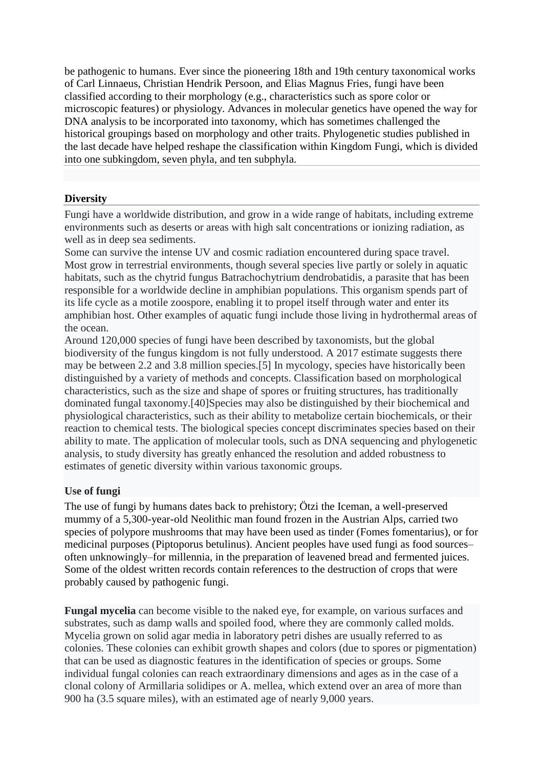be pathogenic to humans. Ever since the pioneering 18th and 19th century taxonomical works of Carl Linnaeus, Christian Hendrik Persoon, and Elias Magnus Fries, fungi have been classified according to their morphology (e.g., characteristics such as spore color or microscopic features) or physiology. Advances in molecular genetics have opened the way for DNA analysis to be incorporated into taxonomy, which has sometimes challenged the historical groupings based on morphology and other traits. Phylogenetic studies published in the last decade have helped reshape the classification within Kingdom Fungi, which is divided into one subkingdom, seven phyla, and ten subphyla.

# **Diversity**

Fungi have a worldwide distribution, and grow in a wide range of habitats, including extreme environments such as deserts or areas with high salt concentrations or ionizing radiation, as well as in deep sea sediments.

Some can survive the intense UV and cosmic radiation encountered during space travel. Most grow in terrestrial environments, though several species live partly or solely in aquatic habitats, such as the chytrid fungus Batrachochytrium dendrobatidis, a parasite that has been responsible for a worldwide decline in amphibian populations. This organism spends part of its life cycle as a motile zoospore, enabling it to propel itself through water and enter its amphibian host. Other examples of aquatic fungi include those living in hydrothermal areas of the ocean.

Around 120,000 species of fungi have been described by taxonomists, but the global biodiversity of the fungus kingdom is not fully understood. A 2017 estimate suggests there may be between 2.2 and 3.8 million species.[5] In mycology, species have historically been distinguished by a variety of methods and concepts. Classification based on morphological characteristics, such as the size and shape of spores or fruiting structures, has traditionally dominated fungal taxonomy.[40]Species may also be distinguished by their biochemical and physiological characteristics, such as their ability to metabolize certain biochemicals, or their reaction to chemical tests. The biological species concept discriminates species based on their ability to mate. The application of molecular tools, such as DNA sequencing and phylogenetic analysis, to study diversity has greatly enhanced the resolution and added robustness to estimates of genetic diversity within various taxonomic groups.

### **Use of fungi**

The use of fungi by humans dates back to prehistory; Ötzi the Iceman, a well-preserved mummy of a 5,300-year-old Neolithic man found frozen in the Austrian Alps, carried two species of polypore mushrooms that may have been used as tinder (Fomes fomentarius), or for medicinal purposes (Piptoporus betulinus). Ancient peoples have used fungi as food sources– often unknowingly–for millennia, in the preparation of leavened bread and fermented juices. Some of the oldest written records contain references to the destruction of crops that were probably caused by pathogenic fungi.

**Fungal mycelia** can become visible to the naked eye, for example, on various surfaces and substrates, such as damp walls and spoiled food, where they are commonly called molds. Mycelia grown on solid agar media in laboratory petri dishes are usually referred to as colonies. These colonies can exhibit growth shapes and colors (due to spores or pigmentation) that can be used as diagnostic features in the identification of species or groups. Some individual fungal colonies can reach extraordinary dimensions and ages as in the case of a clonal colony of Armillaria solidipes or A. mellea, which extend over an area of more than 900 ha (3.5 square miles), with an estimated age of nearly 9,000 years.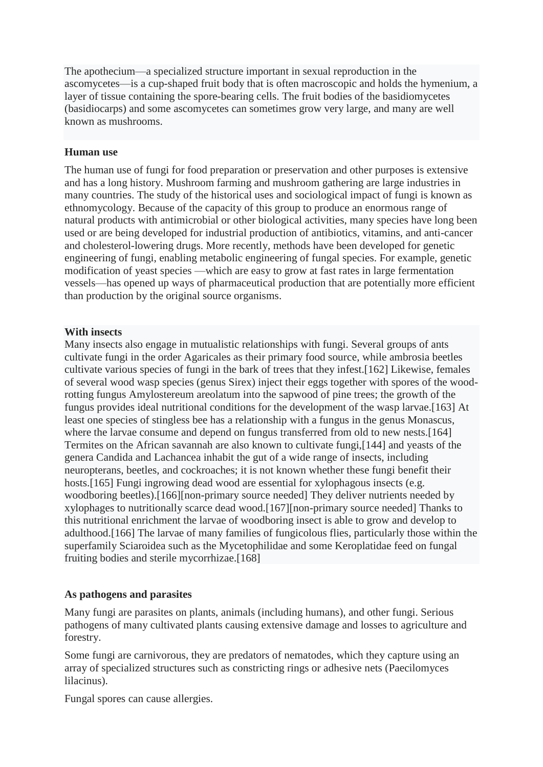The apothecium—a specialized structure important in sexual reproduction in the ascomycetes—is a cup-shaped fruit body that is often macroscopic and holds the hymenium, a layer of tissue containing the spore-bearing cells. The fruit bodies of the basidiomycetes (basidiocarps) and some ascomycetes can sometimes grow very large, and many are well known as mushrooms.

# **Human use**

The human use of fungi for food preparation or preservation and other purposes is extensive and has a long history. Mushroom farming and mushroom gathering are large industries in many countries. The study of the historical uses and sociological impact of fungi is known as ethnomycology. Because of the capacity of this group to produce an enormous range of natural products with antimicrobial or other biological activities, many species have long been used or are being developed for industrial production of antibiotics, vitamins, and anti-cancer and cholesterol-lowering drugs. More recently, methods have been developed for genetic engineering of fungi, enabling metabolic engineering of fungal species. For example, genetic modification of yeast species —which are easy to grow at fast rates in large fermentation vessels—has opened up ways of pharmaceutical production that are potentially more efficient than production by the original source organisms.

### **With insects**

Many insects also engage in mutualistic relationships with fungi. Several groups of ants cultivate fungi in the order Agaricales as their primary food source, while ambrosia beetles cultivate various species of fungi in the bark of trees that they infest.[162] Likewise, females of several wood wasp species (genus Sirex) inject their eggs together with spores of the woodrotting fungus Amylostereum areolatum into the sapwood of pine trees; the growth of the fungus provides ideal nutritional conditions for the development of the wasp larvae.[163] At least one species of stingless bee has a relationship with a fungus in the genus Monascus, where the larvae consume and depend on fungus transferred from old to new nests.[164] Termites on the African savannah are also known to cultivate fungi,[144] and yeasts of the genera Candida and Lachancea inhabit the gut of a wide range of insects, including neuropterans, beetles, and cockroaches; it is not known whether these fungi benefit their hosts.[165] Fungi ingrowing dead wood are essential for xylophagous insects (e.g. woodboring beetles).[166][non-primary source needed] They deliver nutrients needed by xylophages to nutritionally scarce dead wood.[167][non-primary source needed] Thanks to this nutritional enrichment the larvae of woodboring insect is able to grow and develop to adulthood.[166] The larvae of many families of fungicolous flies, particularly those within the superfamily Sciaroidea such as the Mycetophilidae and some Keroplatidae feed on fungal fruiting bodies and sterile mycorrhizae.[168]

# **As pathogens and parasites**

Many fungi are parasites on plants, animals (including humans), and other fungi. Serious pathogens of many cultivated plants causing extensive damage and losses to agriculture and forestry.

Some fungi are carnivorous, they are predators of nematodes, which they capture using an array of specialized structures such as constricting rings or adhesive nets (Paecilomyces lilacinus).

Fungal spores can cause allergies.